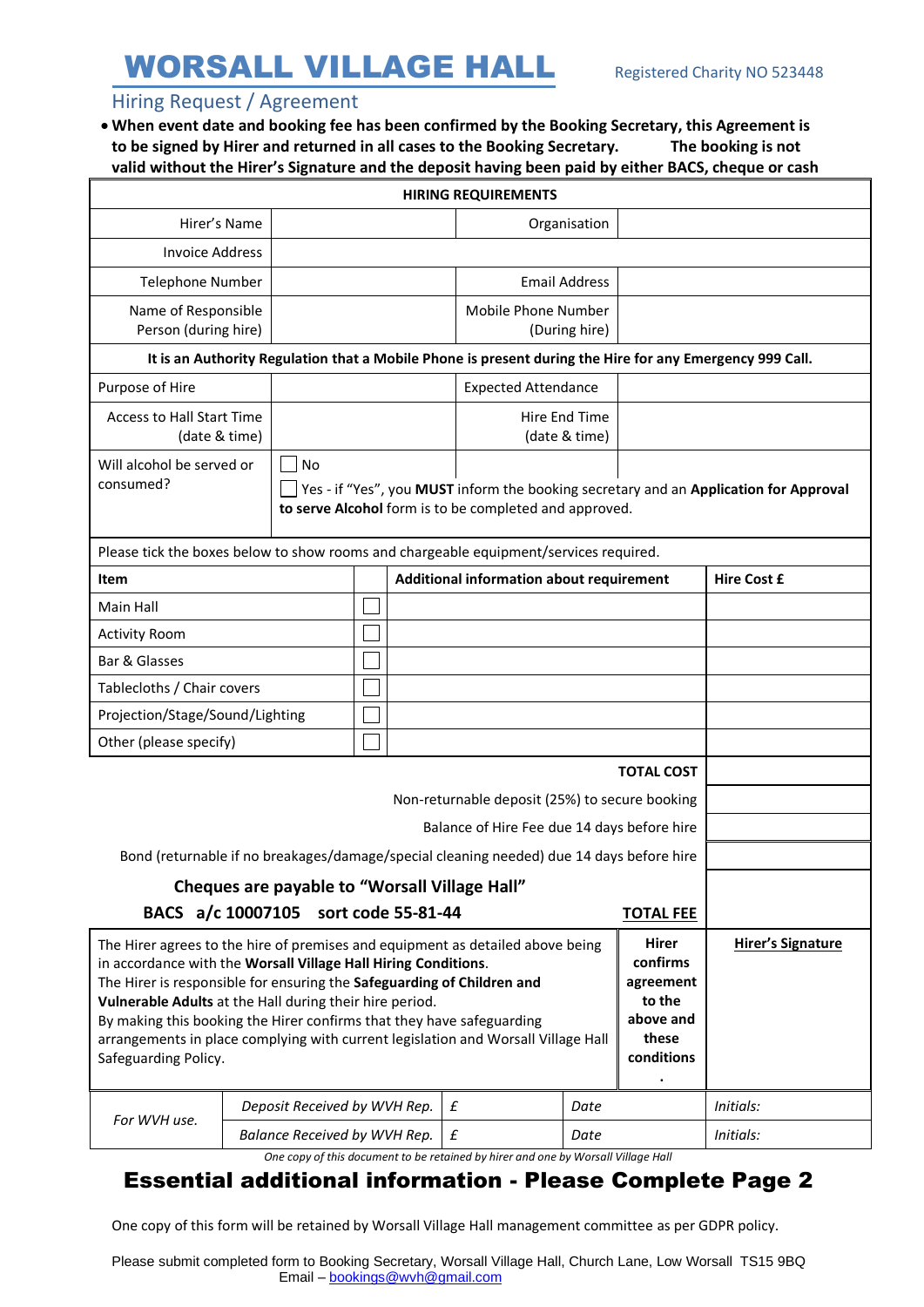# WORSALL VILLAGE HALL Registered Charity NO 523448

### Hiring Request / Agreement

• **When event date and booking fee has been confirmed by the Booking Secretary, this Agreement is to be signed by Hirer and returned in all cases to the Booking Secretary. The booking is not valid without the Hirer's Signature and the deposit having been paid by either BACS, cheque or cash**

| <b>HIRING REQUIREMENTS</b>                                                                                                                                                                                                                                                                                                                                                                                                                                                                                                                                                                     |                                                                                                                                                              |                              |  |                                          |                            |                                |                    |           |  |
|------------------------------------------------------------------------------------------------------------------------------------------------------------------------------------------------------------------------------------------------------------------------------------------------------------------------------------------------------------------------------------------------------------------------------------------------------------------------------------------------------------------------------------------------------------------------------------------------|--------------------------------------------------------------------------------------------------------------------------------------------------------------|------------------------------|--|------------------------------------------|----------------------------|--------------------------------|--------------------|-----------|--|
|                                                                                                                                                                                                                                                                                                                                                                                                                                                                                                                                                                                                | Hirer's Name                                                                                                                                                 |                              |  |                                          |                            | Organisation                   |                    |           |  |
| <b>Invoice Address</b>                                                                                                                                                                                                                                                                                                                                                                                                                                                                                                                                                                         |                                                                                                                                                              |                              |  |                                          |                            |                                |                    |           |  |
| <b>Telephone Number</b>                                                                                                                                                                                                                                                                                                                                                                                                                                                                                                                                                                        |                                                                                                                                                              |                              |  |                                          |                            | <b>Email Address</b>           |                    |           |  |
| Name of Responsible<br>Person (during hire)                                                                                                                                                                                                                                                                                                                                                                                                                                                                                                                                                    |                                                                                                                                                              |                              |  |                                          | Mobile Phone Number        | (During hire)                  |                    |           |  |
| It is an Authority Regulation that a Mobile Phone is present during the Hire for any Emergency 999 Call.                                                                                                                                                                                                                                                                                                                                                                                                                                                                                       |                                                                                                                                                              |                              |  |                                          |                            |                                |                    |           |  |
| Purpose of Hire                                                                                                                                                                                                                                                                                                                                                                                                                                                                                                                                                                                |                                                                                                                                                              |                              |  |                                          | <b>Expected Attendance</b> |                                |                    |           |  |
| <b>Access to Hall Start Time</b><br>(date & time)                                                                                                                                                                                                                                                                                                                                                                                                                                                                                                                                              |                                                                                                                                                              |                              |  |                                          |                            | Hire End Time<br>(date & time) |                    |           |  |
| Will alcohol be served or<br>consumed?                                                                                                                                                                                                                                                                                                                                                                                                                                                                                                                                                         | <b>No</b><br>Yes - if "Yes", you MUST inform the booking secretary and an Application for Approval<br>to serve Alcohol form is to be completed and approved. |                              |  |                                          |                            |                                |                    |           |  |
| Please tick the boxes below to show rooms and chargeable equipment/services required.                                                                                                                                                                                                                                                                                                                                                                                                                                                                                                          |                                                                                                                                                              |                              |  |                                          |                            |                                |                    |           |  |
| Item                                                                                                                                                                                                                                                                                                                                                                                                                                                                                                                                                                                           |                                                                                                                                                              |                              |  | Additional information about requirement |                            |                                | <b>Hire Cost £</b> |           |  |
| Main Hall                                                                                                                                                                                                                                                                                                                                                                                                                                                                                                                                                                                      |                                                                                                                                                              |                              |  |                                          |                            |                                |                    |           |  |
| <b>Activity Room</b>                                                                                                                                                                                                                                                                                                                                                                                                                                                                                                                                                                           |                                                                                                                                                              |                              |  |                                          |                            |                                |                    |           |  |
| Bar & Glasses                                                                                                                                                                                                                                                                                                                                                                                                                                                                                                                                                                                  |                                                                                                                                                              |                              |  |                                          |                            |                                |                    |           |  |
| Tablecloths / Chair covers                                                                                                                                                                                                                                                                                                                                                                                                                                                                                                                                                                     |                                                                                                                                                              |                              |  |                                          |                            |                                |                    |           |  |
| Projection/Stage/Sound/Lighting                                                                                                                                                                                                                                                                                                                                                                                                                                                                                                                                                                |                                                                                                                                                              |                              |  |                                          |                            |                                |                    |           |  |
| Other (please specify)                                                                                                                                                                                                                                                                                                                                                                                                                                                                                                                                                                         |                                                                                                                                                              |                              |  |                                          |                            |                                |                    |           |  |
| <b>TOTAL COST</b>                                                                                                                                                                                                                                                                                                                                                                                                                                                                                                                                                                              |                                                                                                                                                              |                              |  |                                          |                            |                                |                    |           |  |
| Non-returnable deposit (25%) to secure booking                                                                                                                                                                                                                                                                                                                                                                                                                                                                                                                                                 |                                                                                                                                                              |                              |  |                                          |                            |                                |                    |           |  |
| Balance of Hire Fee due 14 days before hire                                                                                                                                                                                                                                                                                                                                                                                                                                                                                                                                                    |                                                                                                                                                              |                              |  |                                          |                            |                                |                    |           |  |
| Bond (returnable if no breakages/damage/special cleaning needed) due 14 days before hire                                                                                                                                                                                                                                                                                                                                                                                                                                                                                                       |                                                                                                                                                              |                              |  |                                          |                            |                                |                    |           |  |
| Cheques are payable to "Worsall Village Hall"                                                                                                                                                                                                                                                                                                                                                                                                                                                                                                                                                  |                                                                                                                                                              |                              |  |                                          |                            |                                |                    |           |  |
| BACS a/c 10007105 sort code 55-81-44<br><b>TOTAL FEE</b>                                                                                                                                                                                                                                                                                                                                                                                                                                                                                                                                       |                                                                                                                                                              |                              |  |                                          |                            |                                |                    |           |  |
| <b>Hirer</b><br>The Hirer agrees to the hire of premises and equipment as detailed above being<br><b>Hirer's Signature</b><br>confirms<br>in accordance with the Worsall Village Hall Hiring Conditions.<br>The Hirer is responsible for ensuring the Safeguarding of Children and<br>agreement<br>to the<br>Vulnerable Adults at the Hall during their hire period.<br>above and<br>By making this booking the Hirer confirms that they have safeguarding<br>these<br>arrangements in place complying with current legislation and Worsall Village Hall<br>conditions<br>Safeguarding Policy. |                                                                                                                                                              |                              |  |                                          |                            |                                |                    |           |  |
| For WVH use.                                                                                                                                                                                                                                                                                                                                                                                                                                                                                                                                                                                   | Deposit Received by WVH Rep.                                                                                                                                 |                              |  |                                          | £                          | Date                           |                    | Initials: |  |
|                                                                                                                                                                                                                                                                                                                                                                                                                                                                                                                                                                                                |                                                                                                                                                              | Balance Received by WVH Rep. |  |                                          | £                          | Date                           |                    | Initials: |  |

*One copy of this document to be retained by hirer and one by Worsall Village Hall*

## Essential additional information - Please Complete Page 2

One copy of this form will be retained by Worsall Village Hall management committee as per GDPR policy.

Please submit completed form to Booking Secretary, Worsall Village Hall, Church Lane, Low Worsall TS15 9BQ Email – [bookings@wvh@gmail.com](mailto:bookings@wvh@gmail.com)